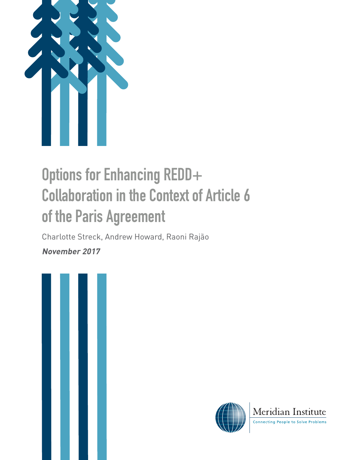

# **Options for Enhancing REDD+ Collaboration in the Context of Article 6 of the Paris Agreement**

Charlotte Streck, Andrew Howard, Raoni Rajão

**November 2017**





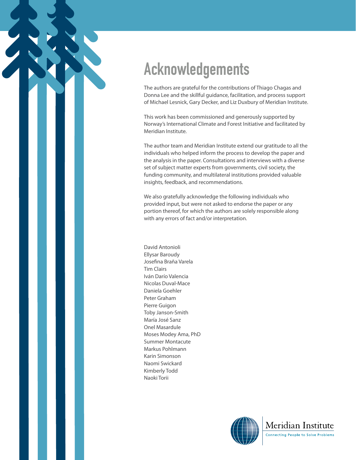# **Acknowledgements**

The authors are grateful for the contributions of Thiago Chagas and Donna Lee and the skillful guidance, facilitation, and process support of Michael Lesnick, Gary Decker, and Liz Duxbury of Meridian Institute.

This work has been commissioned and generously supported by Norway's International Climate and Forest Initiative and facilitated by Meridian Institute.

The author team and Meridian Institute extend our gratitude to all the individuals who helped inform the process to develop the paper and the analysis in the paper. Consultations and interviews with a diverse set of subject matter experts from governments, civil society, the funding community, and multilateral institutions provided valuable insights, feedback, and recommendations.

We also gratefully acknowledge the following individuals who provided input, but were not asked to endorse the paper or any portion thereof, for which the authors are solely responsible along with any errors of fact and/or interpretation.

David Antonioli Ellysar Baroudy Josefina Braña Varela Tim Clairs Iván Darío Valencia Nicolas Duval-Mace Daniela Goehler Peter Graham Pierre Guigon Toby Janson-Smith María José Sanz Onel Masardule Moses Modey Ama, PhD Summer Montacute Markus Pohlmann Karin Simonson Naomi Swickard Kimberly Todd Naoki Torii

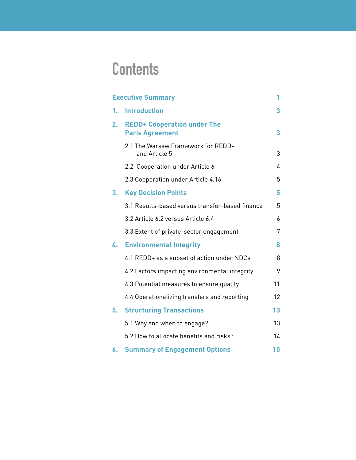# **Contents**

| <b>Executive Summary</b> |                                                              |    |
|--------------------------|--------------------------------------------------------------|----|
| 1.                       | <b>Introduction</b>                                          | 3  |
| 2.                       | <b>REDD+ Cooperation under The</b><br><b>Paris Agreement</b> | 3  |
|                          | 2.1 The Warsaw Framework for REDD+<br>and Article 5          | 3  |
|                          | 2.2 Cooperation under Article 6                              | 4  |
|                          | 2.3 Cooperation under Article 4.16                           | 5  |
| 3.                       | <b>Key Decision Points</b>                                   | 5  |
|                          | 3.1 Results-based versus transfer-based finance              | 5  |
|                          | 3.2 Article 6.2 versus Article 6.4                           | 6  |
|                          | 3.3 Extent of private-sector engagement                      | 7  |
| 4.                       | <b>Environmental Integrity</b>                               | 8  |
|                          | 4.1 REDD+ as a subset of action under NDCs                   | 8  |
|                          | 4.2 Factors impacting environmental integrity                | 9  |
|                          | 4.3 Potential measures to ensure quality                     | 11 |
|                          | 4.4 Operationalizing transfers and reporting                 | 12 |
| 5.                       | <b>Structuring Transactions</b>                              | 13 |
|                          | 5.1 Why and when to engage?                                  | 13 |
|                          | 5.2 How to allocate benefits and risks?                      | 14 |
| 6.                       | <b>Summary of Engagement Options</b>                         | 15 |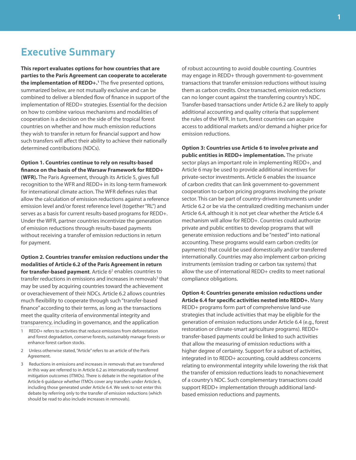### <span id="page-4-0"></span>**Executive Summary**

**This report evaluates options for how countries that are parties to the Paris Agreement can cooperate to accelerate the implementation of REDD+.<sup>1</sup>** The five presented options, summarized below, are not mutually exclusive and can be combined to deliver a blended flow of finance in support of the implementation of REDD+ strategies. Essential for the decision on how to combine various mechanisms and modalities of cooperation is a decision on the side of the tropical forest countries on whether and how much emission reductions they wish to transfer in return for financial support and how such transfers will affect their ability to achieve their nationally determined contributions (NDCs).

**Option 1. Countries continue to rely on results-based finance on the basis of the Warsaw Framework for REDD+** 

**(WFR).** The Paris Agreement, through its Article 5, gives full recognition to the WFR and REDD+ in its long-term framework for international climate action. The WFR defines rules that allow the calculation of emission reductions against a reference emission level and/or forest reference level (together "RL") and serves as a basis for current results-based programs for REDD+. Under the WFR, partner countries incentivize the generation of emission reductions through results-based payments without receiving a transfer of emission reductions in return for payment.

**Option 2. Countries transfer emission reductions under the modalities of Article 6.2 of the Paris Agreement in return for transfer-based payment**. Article 6<sup>2</sup> enables countries to transfer reductions in emissions and increases in removals<sup>3</sup> that may be used by acquiring countries toward the achievement or overachievement of their NDCs. Article 6.2 allows countries much flexibility to cooperate through such "transfer-based finance" according to their terms, as long as the transactions meet the quality criteria of environmental integrity and transparency, including in governance, and the application

- 1 REDD+ refers to activities that reduce emissions from deforestation and forest degradation, conserve forests, sustainably manage forests or enhance forest carbon stocks.
- 2 Unless otherwise stated, "Article" refers to an article of the Paris Agreement.
- 3 Reductions in emissions and increases in removals that are transferred in this way are referred to in Article 6.2 as internationally transferred mitigation outcomes (ITMOs). There is debate in the negotiation of the Article 6 guidance whether ITMOs cover any transfers under Article 6, including those generated under Article 6.4. We seek to not enter this debate by referring only to the transfer of emission reductions (which should be read to also include increases in removals).

of robust accounting to avoid double counting. Countries may engage in REDD+ through government-to-government transactions that transfer emission reductions without issuing them as carbon credits. Once transacted, emission reductions can no longer count against the transferring country's NDC. Transfer-based transactions under Article 6.2 are likely to apply additional accounting and quality criteria that supplement the rules of the WFR. In turn, forest countries can acquire access to additional markets and/or demand a higher price for emission reductions.

**Option 3: Countries use Article 6 to involve private and public entities in REDD+ implementation.** The private sector plays an important role in implementing REDD+, and Article 6 may be used to provide additional incentives for private-sector investments. Article 6 enables the issuance of carbon credits that can link government-to-government cooperation to carbon pricing programs involving the private sector. This can be part of country-driven instruments under Article 6.2 or be via the centralized crediting mechanism under Article 6.4, although it is not yet clear whether the Article 6.4 mechanism will allow for REDD+. Countries could authorize private and public entities to develop programs that will generate emission reductions and be "nested" into national accounting. These programs would earn carbon credits (or payments) that could be used domestically and/or transferred internationally. Countries may also implement carbon-pricing instruments (emission trading or carbon tax systems) that allow the use of international REDD+ credits to meet national compliance obligations.

**Option 4: Countries generate emission reductions under Article 6.4 for specific activities nested into REDD+.** Many REDD+ programs form part of comprehensive land-use strategies that include activities that may be eligible for the generation of emission reductions under Article 6.4 (e.g., forest restoration or climate-smart agriculture programs). REDD+ transfer-based payments could be linked to such activities that allow the measuring of emission reductions with a higher degree of certainty. Support for a subset of activities, integrated in to REDD+ accounting, could address concerns relating to environmental integrity while lowering the risk that the transfer of emission reductions leads to nonachievement of a country's NDC. Such complementary transactions could support REDD+ implementation through additional landbased emission reductions and payments.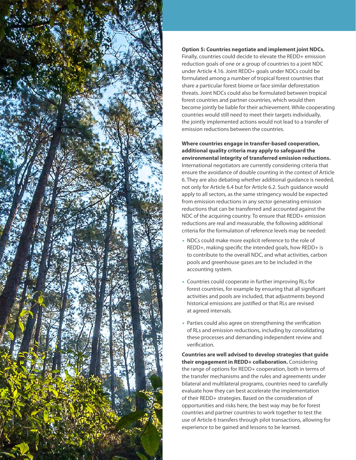

#### **Option 5: Countries negotiate and implement joint NDCs.**

Finally, countries could decide to elevate the REDD+ emission reduction goals of one or a group of countries to a joint NDC under Article 4.16. Joint REDD+ goals under NDCs could be formulated among a number of tropical forest countries that share a particular forest biome or face similar deforestation threats. Joint NDCs could also be formulated between tropical forest countries and partner countries, which would then become jointly be liable for their achievement. While cooperating countries would still need to meet their targets individually, the jointly implemented actions would not lead to a transfer of emission reductions between the countries.

**Where countries engage in transfer-based cooperation, additional quality criteria may apply to safeguard the environmental integrity of transferred emission reductions.** International negotiators are currently considering criteria that ensure the avoidance of double counting in the context of Article 6. They are also debating whether additional guidance is needed, not only for Article 6.4 but for Article 6.2. Such guidance would apply to all sectors, as the same stringency would be expected from emission reductions in any sector generating emission reductions that can be transferred and accounted against the NDC of the acquiring country. To ensure that REDD+ emission reductions are real and measurable, the following additional criteria for the formulation of reference levels may be needed:

- NDCs could make more explicit reference to the role of REDD+, making specific the intended goals, how REDD+ is to contribute to the overall NDC, and what activities, carbon pools and greenhouse gases are to be included in the accounting system.
- Countries could cooperate in further improving RLs for forest countries, for example by ensuring that all significant activities and pools are included, that adjustments beyond historical emissions are justified or that RLs are revised at agreed intervals.
- Parties could also agree on strengthening the verification of RLs and emission reductions, including by consolidating these processes and demanding independent review and verification.

**Countries are well advised to develop strategies that guide their engagement in REDD+ collaboration.** Considering the range of options for REDD+ cooperation, both in terms of the transfer mechanisms and the rules and agreements under bilateral and multilateral programs, countries need to carefully evaluate how they can best accelerate the implementation of their REDD+ strategies. Based on the consideration of opportunities and risks here, the best way may be for forest countries and partner countries to work together to test the use of Article 6 transfers through pilot transactions, allowing for experience to be gained and lessons to be learned.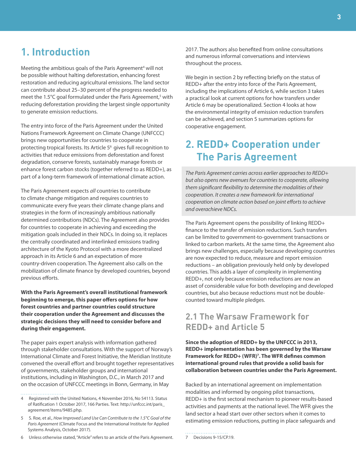### <span id="page-6-0"></span>**1. Introduction**

Meeting the ambitious goals of the Paris Agreement<sup>4</sup> will not be possible without halting deforestation, enhancing forest restoration and reducing agricultural emissions. The land sector can contribute about 25–30 percent of the progress needed to meet the 1.5°C goal formulated under the Paris Agreement,<sup>5</sup> with reducing deforestation providing the largest single opportunity to generate emission reductions.

The entry into force of the Paris Agreement under the United Nations Framework Agreement on Climate Change (UNFCCC) brings new opportunities for countries to cooperate in protecting tropical forests. Its Article 5<sup>6</sup> gives full recognition to activities that reduce emissions from deforestation and forest degradation, conserve forests, sustainably manage forests or enhance forest carbon stocks (together referred to as REDD+), as part of a long-term framework of international climate action.

The Paris Agreement expects all countries to contribute to climate change mitigation and requires countries to communicate every five years their climate change plans and strategies in the form of increasingly ambitious nationally determined contributions (NDCs). The Agreement also provides for countries to cooperate in achieving and exceeding the mitigation goals included in their NDCs. In doing so, it replaces the centrally coordinated and interlinked emissions trading architecture of the Kyoto Protocol with a more decentralized approach in its Article 6 and an expectation of more country-driven cooperation. The Agreement also calls on the mobilization of climate finance by developed countries, beyond previous efforts.

**With the Paris Agreement's overall institutional framework beginning to emerge, this paper offers options for how forest countries and partner countries could structure their cooperation under the Agreement and discusses the strategic decisions they will need to consider before and during their engagement.**

The paper pairs expert analysis with information gathered through stakeholder consultations. With the support of Norway's International Climate and Forest Initiative, the Meridian Institute convened the overall effort and brought together representatives of governments, stakeholder groups and international institutions, including in Washington, D.C., in March 2017 and on the occasion of UNFCCC meetings in Bonn, Germany, in May

6 Unless otherwise stated, "Article" refers to an article of the Paris Agreement.

2017. The authors also benefited from online consultations and numerous informal conversations and interviews throughout the process.

We begin in section 2 by reflecting briefly on the status of REDD+ after the entry into force of the Paris Agreement, including the implications of Article 6, while section 3 takes a practical look at current options for how transfers under Article 6 may be operationalized. Section 4 looks at how the environmental integrity of emission reduction transfers can be achieved, and section 5 summarizes options for cooperative engagement.

## **2. REDD+ Cooperation under The Paris Agreement**

The Paris Agreement carries across earlier approaches to REDD+ but also opens new avenues for countries to cooperate, allowing them significant flexibility to determine the modalities of their cooperation. It creates a new framework for international cooperation on climate action based on joint efforts to achieve and overachieve NDCs.

The Paris Agreement opens the possibility of linking REDD+ finance to the transfer of emission reductions. Such transfers can be limited to government-to-government transactions or linked to carbon markets. At the same time, the Agreement also brings new challenges, especially because developing countries are now expected to reduce, measure and report emission reductions – an obligation previously held only by developed countries. This adds a layer of complexity in implementing REDD+, not only because emission reductions are now an asset of considerable value for both developing and developed countries, but also because reductions must not be doublecounted toward multiple pledges.

### **2.1 The Warsaw Framework for REDD+ and Article 5**

**Since the adoption of REDD+ by the UNFCCC in 2013, REDD+ implementation has been governed by the Warsaw Framework for REDD+ (WFR)<sup>7</sup> . The WFR defines common international ground rules that provide a solid basis for collaboration between countries under the Paris Agreement.** 

Backed by an international agreement on implementation modalities and informed by ongoing pilot transactions, REDD+ is the first sectoral mechanism to pioneer results-based activities and payments at the national level. The WFR gives the land sector a head start over other sectors when it comes to estimating emission reductions, putting in place safeguards and

7 Decisions 9-15/CP.19.

<sup>4</sup> Registered with the United Nations, 4 November 2016, No 54113. Status of Ratification 1 October 2017, 166 Parties. Text: http://unfccc.int/paris\_ agreement/items/9485.php.

<sup>5</sup> S. Roe, et al., How Improved Land Use Can Contribute to the 1.5°C Goal of the Paris Agreement (Climate Focus and the International Institute for Applied Systems Analysis, October 2017).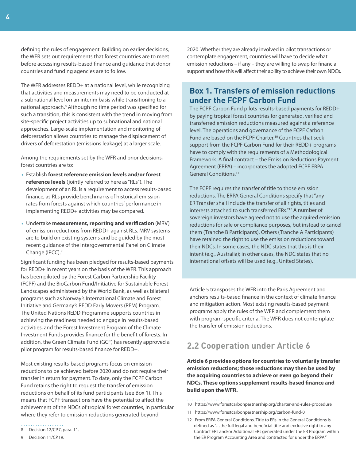<span id="page-7-0"></span>defining the rules of engagement. Building on earlier decisions, the WFR sets out requirements that forest countries are to meet before accessing results-based finance and guidance that donor countries and funding agencies are to follow.

The WFR addresses REDD+ at a national level, while recognizing that activities and measurements may need to be conducted at a subnational level on an interim basis while transitioning to a national approach.<sup>8</sup> Although no time period was specified for such a transition, this is consistent with the trend in moving from site-specific project activities up to subnational and national approaches. Large-scale implementation and monitoring of deforestation allows countries to manage the displacement of drivers of deforestation (emissions leakage) at a larger scale.

Among the requirements set by the WFR and prior decisions, forest countries are to:

- Establish **forest reference emission levels and/or forest reference levels** (jointly referred to here as "RLs"). The development of an RL is a requirement to access results-based finance, as RLs provide benchmarks of historical emission rates from forests against which countries' performance in implementing REDD+ activities may be compared.
- Undertake **measurement, reporting and verification** (MRV) of emission reductions from REDD+ against RLs. MRV systems are to build on existing systems and be guided by the most recent guidance of the Intergovernmental Panel on Climate Change (IPCC).<sup>9</sup>

Significant funding has been pledged for results-based payments for REDD+ in recent years on the basis of the WFR. This approach has been piloted by the Forest Carbon Partnership Facility (FCPF) and the BioCarbon Fund/Initiative for Sustainable Forest Landscapes administered by the World Bank, as well as bilateral programs such as Norway's International Climate and Forest Initiative and Germany's REDD Early Movers (REM) Program. The United Nations REDD Programme supports countries in achieving the readiness needed to engage in results-based activities, and the Forest Investment Program of the Climate Investment Funds provides finance for the benefit of forests. In addition, the Green Climate Fund (GCF) has recently approved a pilot program for results-based finance for REDD+.

Most existing results-based programs focus on emission reductions to be achieved before 2020 and do not require their transfer in return for payment. To date, only the FCPF Carbon Fund retains the right to request the transfer of emission reductions on behalf of its fund participants (see [Box 1](#page-7-1)). This means that FCPF transactions have the potential to affect the achievement of the NDCs of tropical forest countries, in particular where they refer to emission reductions generated beyond

2020. Whether they are already involved in pilot transactions or contemplate engagement, countries will have to decide what emission reductions – if any – they are willing to swap for financial support and how this will affect their ability to achieve their own NDCs.

#### <span id="page-7-1"></span>**Box 1. Transfers of emission reductions under the FCPF Carbon Fund**

The FCPF Carbon Fund pilots results-based payments for REDD+ by paying tropical forest countries for generated, verified and transferred emission reductions measured against a reference level. The operations and governance of the FCPF Carbon Fund are based on the FCPF Charter.<sup>10</sup> Countries that seek support from the FCPF Carbon Fund for their REDD+ programs have to comply with the requirements of a Methodological Framework. A final contract – the Emission Reductions Payment Agreement (ERPA) – incorporates the adopted FCPF ERPA General Conditions.<sup>11</sup>

The FCPF requires the transfer of title to those emission reductions. The ERPA General Conditions specify that "any ER Transfer shall include the transfer of all rights, titles and interests attached to such transferred ERs."<sup>12</sup> A number of sovereign investors have agreed not to use the aquired emission reductions for sale or compliance purposes, but instead to cancel them (Tranche B Participants). Others (Tranche A Participants) have retained the right to use the emission reductions toward their NDCs. In some cases, the NDC states that this is their intent (e.g., Australia); in other cases, the NDC states that no international offsets will be used (e.g., United States).

Article 5 transposes the WFR into the Paris Agreement and anchors results-based finance in the context of climate finance and mitigation action. Most existing results-based payment programs apply the rules of the WFR and complement them with program-specific criteria. The WFR does not contemplate the transfer of emission reductions.

### **2.2 Cooperation under Article 6**

**Article 6 provides options for countries to voluntarily transfer emission reductions; those reductions may then be used by the acquiring countries to achieve or even go beyond their NDCs. These options supplement results-based finance and build upon the WFR.** 

- 10 https://www.forestcarbonpartnership.org/charter-and-rules-procedure
- 11 https://www.forestcarbonpartnership.org/carbon-fund-0
- 12 From ERPA General Conditions. Title to ERs in the General Conditions is defined as "…the full legal and beneficial title and exclusive right to any Contract ERs and/or Additional ERs generated under the ER Program within the ER Program Accounting Area and contracted for under the ERPA."

<sup>8</sup> Decision 12/CP.7, para. 11.

<sup>9</sup> Decision 11/CP.19.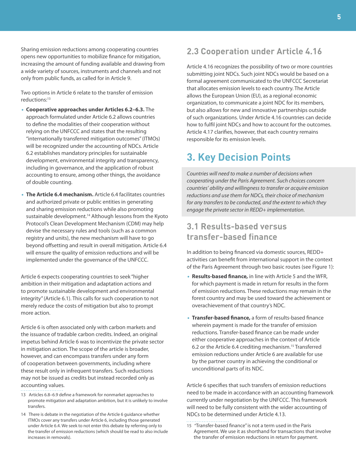<span id="page-8-0"></span>Sharing emission reductions among cooperating countries opens new opportunities to mobilize finance for mitigation, increasing the amount of funding available and drawing from a wide variety of sources, instruments and channels and not only from public funds, as called for in Article 9.

Two options in Article 6 relate to the transfer of emission reductions:<sup>13</sup>

- **Cooperative approaches under Articles 6.2–6.3.** The approach formulated under Article 6.2 allows countries to define the modalities of their cooperation without relying on the UNFCCC and states that the resulting "internationally transferred mitigation outcomes" (ITMOs) will be recognized under the accounting of NDCs. Article 6.2 establishes mandatory principles for sustainable development, environmental integrity and transparency, including in governance, and the application of robust accounting to ensure, among other things, the avoidance of double counting.
- **The Article 6.4 mechanism.** Article 6.4 facilitates countries and authorized private or public entities in generating and sharing emission reductions while also promoting sustainable development.<sup>14</sup> Although lessons from the Kyoto Protocol's Clean Development Mechanism (CDM) may help devise the necessary rules and tools (such as a common registry and units), the new mechanism will have to go beyond offsetting and result in overall mitigation. Article 6.4 will ensure the quality of emission reductions and will be implemented under the governance of the UNFCCC.

Article 6 expects cooperating countries to seek "higher ambition in their mitigation and adaptation actions and to promote sustainable development and environmental integrity" (Article 6.1). This calls for such cooperation to not merely reduce the costs of mitigation but also to prompt more action.

Article 6 is often associated only with carbon markets and the issuance of tradable carbon credits. Indeed, an original impetus behind Article 6 was to incentivize the private sector in mitigation action. The scope of the article is broader, however, and can encompass transfers under any form of cooperation between governments, including where these result only in infrequent transfers. Such reductions may not be issued as credits but instead recorded only as accounting values.

- 13 Articles 6.8–6.9 define a framework for nonmarket approaches to promote mitigation and adaptation ambition, but it is unlikely to involve transfers.
- 14 There is debate in the negotiation of the Article 6 guidance whether ITMOs cover any transfers under Article 6, including those generated under Article 6.4. We seek to not enter this debate by referring only to the transfer of emission reductions (which should be read to also include increases in removals).

### **2.3 Cooperation under Article 4.16**

Article 4.16 recognizes the possibility of two or more countries submitting joint NDCs. Such joint NDCs would be based on a formal agreement communicated to the UNFCCC Secretariat that allocates emission levels to each country. The Article allows the European Union (EU), as a regional economic organization, to communicate a joint NDC for its members, but also allows for new and innovative partnerships outside of such organizations. Under Article 4.16 countries can decide how to fulfil joint NDCs and how to account for the outcomes. Article 4.17 clarifies, however, that each country remains responsible for its emission levels.

### **3. Key Decision Points**

Countries will need to make a number of decisions when cooperating under the Paris Agreement. Such choices concern countries' ability and willingness to transfer or acquire emission reductions and use them for NDCs, their choice of mechanism for any transfers to be conducted, and the extent to which they engage the private sector in REDD+ implementation.

### **3.1 Results-based versus transfer-based finance**

In addition to being financed via domestic sources, REDD+ activities can benefit from international support in the context of the Paris Agreement through two basic routes (see [Figure 1\)](#page-9-1):

- **Results-based finance,** in line with Article 5 and the WFR, for which payment is made in return for results in the form of emission reductions. These reductions may remain in the forest country and may be used toward the achievement or overachievement of that country's NDC.
- **Transfer-based finance,** a form of results-based finance wherein payment is made for the transfer of emission reductions. Transfer-based finance can be made under either cooperative approaches in the context of Article 6.2 or the Article 6.4 crediting mechanism.<sup>15</sup> Transferred emission reductions under Article 6 are available for use by the partner country in achieving the conditional or unconditional parts of its NDC.

Article 6 specifies that such transfers of emission reductions need to be made in accordance with an accounting framework currently under negotiation by the UNFCCC. This framework will need to be fully consistent with the wider accounting of NDCs to be determined under Article 4.13.

15 "Transfer-based finance" is not a term used in the Paris Agreement. We use it as shorthand for transactions that involve the transfer of emission reductions in return for payment.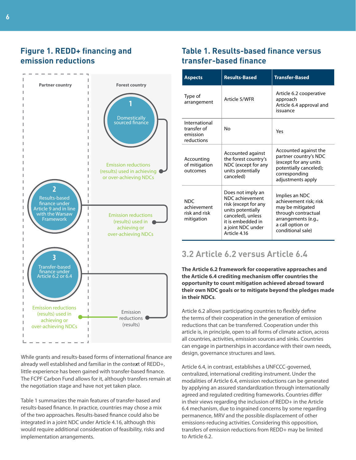#### <span id="page-9-1"></span><span id="page-9-0"></span>**Figure 1. REDD+ financing and emission reductions**



While grants and results-based forms of international finance are already well established and familiar in the conte**x**t of REDD+, little experience has been gained with transfer-based finance. The FCPF Carbon Fund allows for it, although transfers remain at the negotiation stage and have not yet taken place.

[Table 1](#page-9-2) summarizes the main features of transfer-based and results-based finance. In practice, countries may chose a mix of the two approaches. Results-based finance could also be integrated in a joint NDC under Article 4.16, although this would require additional consideration of feasibility, risks and implementation arrangements.

### <span id="page-9-2"></span>**Table 1. Results-based finance versus transfer-based finance**

| <b>Aspects</b>                                           | <b>Results-Based</b>                                                                                                                                             | <b>Transfer-Based</b>                                                                                                                               |
|----------------------------------------------------------|------------------------------------------------------------------------------------------------------------------------------------------------------------------|-----------------------------------------------------------------------------------------------------------------------------------------------------|
| Type of<br>arrangement                                   | Article 5/WFR                                                                                                                                                    | Article 6.2 cooperative<br>approach<br>Article 6.4 approval and<br>issuance                                                                         |
| International<br>transfer of<br>emission<br>reductions   | Nο                                                                                                                                                               | Yes                                                                                                                                                 |
| Accounting<br>of mitigation<br>outcomes                  | Accounted against<br>the forest country's<br>NDC (except for any<br>units potentially<br>canceled)                                                               | Accounted against the<br>partner country's NDC<br>(except for any units<br>potentially canceled);<br>corresponding<br>adjustments apply             |
| <b>NDC</b><br>achievement<br>risk and risk<br>mitigation | Does not imply an<br>NDC achievement<br>risk (except for any<br>units potentially<br>canceled), unless<br>it is embedded in<br>a joint NDC under<br>Article 4.16 | Implies an NDC<br>achievement risk; risk<br>may be mitigated<br>through contractual<br>arrangements (e.g.,<br>a call option or<br>conditional sale) |

### **3.2 Article 6.2 versus Article 6.4**

**The Article 6.2 framework for cooperative approaches and the Article 6.4 crediting mechanism offer countries the opportunity to count mitigation achieved abroad toward their own NDC goals or to mitigate beyond the pledges made in their NDCs**.

Article 6.2 allows participating countries to flexibly define the terms of their cooperation in the generation of emission reductions that can be transferred. Cooperation under this article is, in principle, open to all forms of climate action, across all countries, activities, emission sources and sinks. Countries can engage in partnerships in accordance with their own needs, design, governance structures and laws.

Article 6.4, in contrast, establishes a UNFCCC-governed, centralized, international crediting instrument. Under the modalities of Article 6.4, emission reductions can be generated by applying an assured standardization through internationally agreed and regulated crediting frameworks. Countries differ in their views regarding the inclusion of REDD+ in the Article 6.4 mechanism, due to ingrained concerns by some regarding permanence, MRV and the possible displacement of other emissions-reducing activities. Considering this opposition, transfers of emission reductions from REDD+ may be limited to Article 6.2.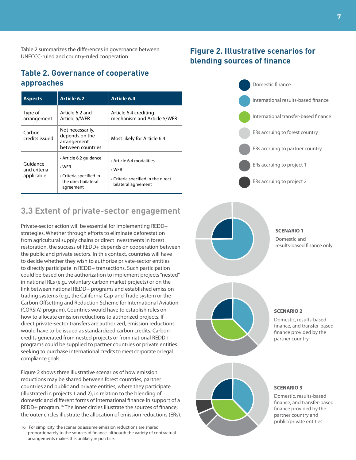<span id="page-10-0"></span>Table 2 summarizes the differences in governance between UNFCCC-ruled and country-ruled cooperation.

#### **Table 2. Governance of cooperative approaches**

| <b>Aspects</b>                         | <b>Article 6.2</b>                                                                                    | Article 6.4                                                                                        |
|----------------------------------------|-------------------------------------------------------------------------------------------------------|----------------------------------------------------------------------------------------------------|
| Type of<br>arrangement                 | Article 6.2 and<br>Article 5/WFR                                                                      | Article 6.4 crediting<br>mechanism and Article 5/WFR                                               |
| Carbon<br>credits issued               | Not necessarily,<br>depends on the<br>arrangement<br>between countries                                | Most likely for Article 6.4                                                                        |
| Guidance<br>and criteria<br>applicable | • Article 6.2 guidance<br>$\cdot$ WFR<br>• Criteria specified in<br>the direct bilateral<br>agreement | • Article 6.4 modalities<br>$\cdot$ WFR<br>Criteria specified in the direct<br>bilateral agreement |

#### **3.3 Extent of private-sector engagement**

Private-sector action will be essential for implementing REDD+ strategies. Whether through efforts to eliminate deforestation from agricultural supply chains or direct investments in forest restoration, the success of REDD+ depends on cooperation between the public and private sectors. In this context, countries will have to decide whether they wish to authorize private-sector entities to directly participate in REDD+ transactions. Such participation could be based on the authorization to implement projects "nested" in national RLs (e.g., voluntary carbon market projects) or on the link between national REDD+ programs and established emission trading systems (e.g., the California Cap-and-Trade system or the Carbon Offsetting and Reduction Scheme for International Aviation (CORSIA) program). Countries would have to establish rules on how to allocate emission reductions to authorized projects. If direct private-sector transfers are authorized, emission reductions would have to be issued as standardized carbon credits. Carbon credits generated from nested projects or from national REDD+ programs could be supplied to partner countries or private entities seeking to purchase international credits to meet corporate or legal compliance goals.

Figure 2 shows three illustrative scenarios of how emission reductions may be shared between forest countries, partner countries and public and private entities, where they participate (illustrated in projects 1 and 2), in relation to the blending of domestic and different forms of international finance in support of a REDD+ program.<sup>16</sup> The inner circles illustrate the sources of finance; the outer circles illustrate the allocation of emission reductions (ERs).

16 For simplicity, the scenarios assume emission reductions are shared proportionately to the sources of finance, although the variety of contractual arrangements makes this unlikely in practice.

### **Figure 2. Illustrative scenarios for blending sources of finance**









**SCENARIO 2**

Domestic, results-based finance, and transfer-based finance provided by the partner country

#### **SCENARIO 3**

Domestic, results-based finance, and transfer-based finance provided by the partner country and public/private entities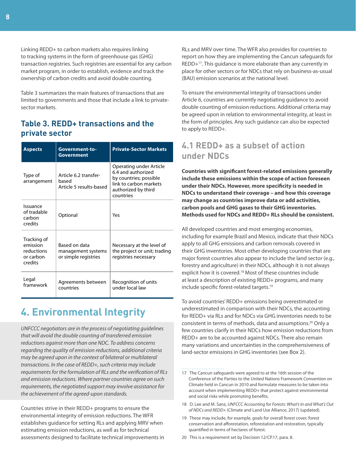<span id="page-11-0"></span>Linking REDD+ to carbon markets also requires linking to tracking systems in the form of greenhouse gas (GHG) transaction registries. Such registries are essential for any carbon market program, in order to establish, evidence and track the ownership of carbon credits and avoid double counting.

[Table 3](#page-11-1) summarizes the main features of transactions that are limited to governments and those that include a link to privatesector markets.

#### <span id="page-11-1"></span>**Table 3. REDD+ transactions and the private sector**

| Aspects                                                       | Government-to-<br>Government                                | <b>Private-Sector Markets</b>                                                                                                         |
|---------------------------------------------------------------|-------------------------------------------------------------|---------------------------------------------------------------------------------------------------------------------------------------|
| Type of<br>arrangement                                        | Article 6.2 transfer-<br>hased<br>Article 5 results-based   | Operating under Article<br>6.4 and authorized<br>by countries; possible<br>link to carbon markets<br>authorized by third<br>countries |
| Issuance<br>of tradable<br>carbon<br>credits                  | Optional                                                    | Yes                                                                                                                                   |
| Tracking of<br>emission<br>reductions<br>or carbon<br>credits | Based on data<br>management systems<br>or simple registries | Necessary at the level of<br>the project or unit; trading<br>registries necessary                                                     |
| Legal<br>framework                                            | Agreements between<br>countries                             | Recognition of units<br>under local law                                                                                               |

## **4. Environmental Integrity**

UNFCCC negotiators are in the process of negotiating guidelines that will avoid the double counting of transferred emission reductions against more than one NDC. To address concerns regarding the quality of emission reductions, additional criteria may be agreed upon in the context of bilateral or multilateral transactions. In the case of REDD+, such criteria may include requirements for the formulation of RLs and the verification of RLs and emission reductions. Where partner countries agree on such requirements, the negotiated support may involve assistance for the achievement of the agreed-upon standards.

Countries strive in their REDD+ programs to ensure the environmental integrity of emission reductions. The WFR establishes guidance for setting RLs and applying MRV when estimating emission reductions, as well as for technical assessments designed to facilitate technical improvements in RLs and MRV over time. The WFR also provides for countries to report on how they are implementing the Cancun safeguards for REDD+<sup>17</sup>. This guidance is more elaborate than any currently in place for other sectors or for NDCs that rely on business-as-usual (BAU) emission scenarios at the national level.

To ensure the environmental integrity of transactions under Article 6, countries are currently negotiating guidance to avoid double counting of emission reductions. Additional criteria may be agreed upon in relation to environmental integrity, at least in the form of principles. Any such guidance can also be expected to apply to REDD+.

### **4.1 REDD+ as a subset of action under NDCs**

**Countries with significant forest-related emissions generally include these emissions within the scope of action foreseen under their NDCs. However, more specificity is needed in NDCs to understand their coverage – and how this coverage may change as countries improve data or add activities, carbon pools and GHG gases to their GHG inventories. Methods used for NDCs and REDD+ RLs should be consistent.**

All developed countries and most emerging economies, including for example Brazil and Mexico, indicate that their NDCs apply to all GHG emissions and carbon removals covered in their GHG inventories. Most other developing countries that are major forest countries also appear to include the land sector (e.g., forestry and agriculture) in their NDCs, although it is not always explicit how it is covered.<sup>18</sup> Most of these countries include at least a description of existing REDD+ programs, and many include specific forest-related targets.<sup>19</sup>

To avoid countries' REDD+ emissions being overestimated or underestimated in comparison with their NDCs, the accounting for REDD+ via RLs and for NDCs via GHG inventories needs to be consistent in terms of methods, data and assumptions.<sup>20</sup> Only a few countries clarify in their NDCs how emission reductions from REDD+ are to be accounted against NDCs. There also remain many variations and uncertainties in the comprehensiveness of land-sector emissions in GHG inventories (see Box 2).

- 17 The Cancun safeguards were agreed to at the 16th session of the Conference of the Parties to the United Nations Framework Convention on Climate held in Cancun in 2010 and formulate measures to be taken into account when implementing REDD+ that protect against environmental and social risks while promoting benefits.
- 18 D. Lee and M. Sanz, UNFCCC Accounting for Forests: What's In and What's Out of NDCs and REDD+ (Climate and Land Use Alliance, 2017) (updated).
- 19 These may include, for example, goals for overall forest cover, forest conservation and afforestation, reforestation and restoration, typically quantified in terms of hectares of forest.

20 This is a requirement set by Decision 12/CP.17, para. 8.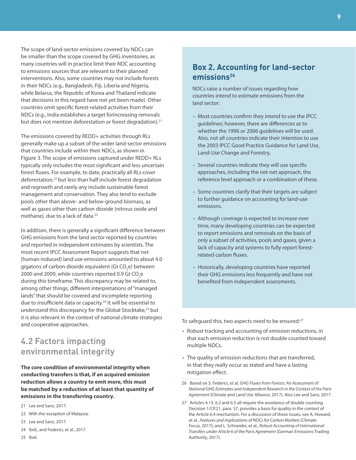<span id="page-12-0"></span>The scope of land-sector emissions covered by NDCs can be smaller than the scope covered by GHG inventories, as many countries will in practice limit their NDC accounting to emissions sources that are relevant to their planned interventions. Also, some countries may not include forests in their NDCs (e.g., Bangladesh, Fiji, Liberia and Nigeria, while Belarus, the Republic of Korea and Thailand indicate that decisions in this regard have not yet been made). Other countries omit specific forest-related activities from their NDCs (e.g., India establishes a target forincreasing removals but does not mention deforestation or forest degradation).<sup>21</sup>

The emissions covered by REDD+ activities through RLs generally make up a subset of the wider land-sector emissions that countries include within their NDCs, as shown in [Figure 3](#page-13-0). The scope of emissions captured under REDD+ RLs typically only includes the most significant and less uncertain forest fluxes. For example, to date, practically all RLs cover deforestation,<sup>22</sup> but less than half include forest degradation and regrowth and rarely any include sustainable forest management and conservation. They also tend to exclude pools other than above- and below-ground biomass, as well as gases other than carbon dioxide (nitrous oxide and methane), due to a lack of data.<sup>23</sup>

In addition, there is generally a significant difference between GHG emissions from the land sector reported by countries and reported in independent estimates by scientists. The most recent IPCC Assessment Report suggests that net (human-induced) land use emissions amounted to about 4.0 gigatons of carbon dioxide equivalent (Gt CO<sub>2</sub>e) between 2000 and 2009, while countries reported 0.9 Gt  $\mathrm{CO}_2^{\phantom i}$ e during this timeframe. This discrepancy may be related to, among other things, different interpretations of "managed lands" that should be covered and incomplete reporting due to insufficient data or capacity.<sup>24</sup> It will be essential to understand this discrepancy for the Global Stocktake,<sup>25</sup> but it is also relevant in the context of national climate strategies and cooperative approaches.

### **4.2 Factors impacting environmental integrity**

**The core condition of environmental integrity when conducting transfers is that, if an acquired emission reduction allows a country to emit more, this must be matched by a reduction of at least that quantity of emissions in the transferring country.**

- 21 Lee and Sanz, 2017.
- 22 With the exception of Malaysia.
- 23 Lee and Sanz, 2017.
- 24 Ibid., and Federici, et al., 2017.
- 25 Ibid.

#### **Box 2. Accounting for land-sector emissions<sup>26</sup>**

NDCs raise a number of issues regarding how countries intend to estimate emissions from the land sector:

- Most countries confirm they intend to use the IPCC guidelines; however, there are differences as to whether the 1996 or 2006 guidelines will be used. Also, not all countries indicate their intention to use the 2003 IPCC Good Practice Guidance for Land Use, Land-Use Change and Forestry.
- Several countries indicate they will use specific approaches, including the net-net approach, the reference level approach or a combination of these.
- Some countries clarify that their targets are subject to further guidance on accounting for land-use emissions.
- Although coverage is expected to increase over time, many developing countries can be expected to report emissions and removals on the basis of only a subset of activities, pools and gases, given a lack of capacity and systems to fully report forestrelated carbon fluxes.
- Historically, developing countries have reported their GHG emissions less frequently and have not benefited from independent assessments.

To safeguard this, two aspects need to be ensured:<sup>27</sup>

- Robust tracking and accounting of emission reductions, in that each emission reduction is not double counted toward multiple NDCs.
- The quality of emission reductions that are transferred, in that they really occur as stated and have a lasting mitigation effect.
- 26 Based on S. Federici, et al. GHG Fluxes from Forests: An Assessment of National GHG Estimates and Independent Research in the Context of the Paris Agreement (Climate and Land Use Alliance, 2017). Also Lee and Sanz, 2017.
- 27 Articles 4.13, 6.2 and 6.5 all require the avoidance of double counting. Decision 1/CP.21, para. 37, provides a basis for quality in the context of the Article 6.4 mechanism. For a discussion of these issues, see A. Howard, et al., Features and Implications of NDCs for Carbon Markets (Climate Focus, 2017); and L. Schneider, et al., Robust Accounting of International Transfers under Article 6 of the Paris Agreement (German Emissions Trading Authority, 2017).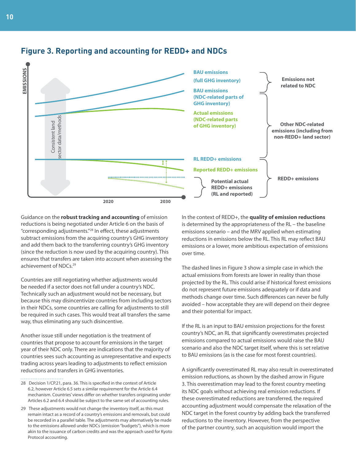

#### <span id="page-13-0"></span>**Figure 3. Reporting and accounting for REDD+ and NDCs**

Guidance on the **robust tracking and accounting** of emission reductions is being negotiated under Article 6 on the basis of "corresponding adjustments."<sup>28</sup> In effect, these adjustments subtract emissions from the acquiring country's GHG inventory and add them back to the transferring country's GHG inventory (since the reduction is now used by the acquiring country). This ensures that transfers are taken into account when assessing the achievement of NDCs.<sup>29</sup>

Countries are still negotiating whether adjustments would be needed if a sector does not fall under a country's NDC. Technically such an adjustment would not be necessary, but because this may disincentivize countries from including sectors in their NDCs, some countries are calling for adjustments to still be required in such cases. This would treat all transfers the same way, thus eliminating any such disincentive.

Another issue still under negotiation is the treatment of countries that propose to account for emissions in the target year of their NDC only. There are indications that the majority of countries sees such accounting as unrepresentative and expects trading across years leading to adjustments to reflect emission reductions and transfers in GHG inventories.

28 Decision 1/CP.21, para. 36. This is specified in the context of Article 6.2, however Article 6.5 sets a similar requirement for the Article 6.4 mechanism. Countries' views differ on whether transfers originating under Articles 6.2 and 6.4 should be subject to the same set of accounting rules.

29 These adjustments would not change the inventory itself, as this must remain intact as a record of a country's emissions and removals, but could be recorded in a parallel table. The adjustments may alternatively be made to the emissions allowed under NDCs (emission "budgets"), which is more akin to the issuance of carbon credits and was the approach used for Kyoto Protocol accounting.

In the context of REDD+, the **quality of emission reductions** is determined by the appropriateness of the RL – the baseline emissions scenario – and the MRV applied when estimating reductions in emissions below the RL. This RL may reflect BAU emissions or a lower, more ambitious expectation of emissions over time.

The dashed lines in Figure 3 show a simple case in which the actual emissions from forests are lower in reality than those projected by the RL. This could arise if historical forest emissions do not represent future emissions adequately or if data and methods change over time. Such differences can never be fully avoided – how acceptable they are will depend on their degree and their potential for impact.

If the RL is an input to BAU emission projections for the forest country's NDC, an RL that significantly overestimates projected emissions compared to actual emissions would raise the BAU scenario and also the NDC target itself, where this is set relative to BAU emissions (as is the case for most forest countries).

A significantly overestimated RL may also result in overestimated emission reductions, as shown by the dashed arrow in Figure 3. This overestimation may lead to the forest country meeting its NDC goals without achieving real emission reductions. If these overestimated reductions are transferred, the required accounting adjustment would compensate the relaxation of the NDC target in the forest country by adding back the transferred reductions to the inventory. However, from the perspective of the partner country, such an acquisition would import the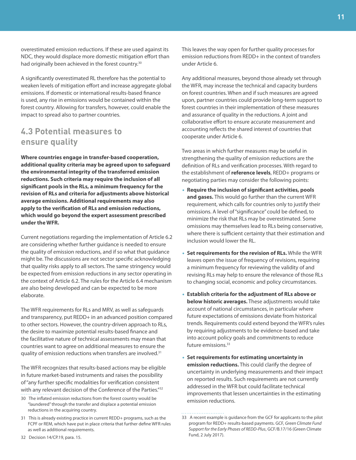<span id="page-14-0"></span>overestimated emission reductions. If these are used against its NDC, they would displace more domestic mitigation effort than had originally been achieved in the forest country.<sup>30</sup>

A significantly overestimated RL therefore has the potential to weaken levels of mitigation effort and increase aggregate global emissions. If domestic or international results-based finance is used, any rise in emissions would be contained within the forest country. Allowing for transfers, however, could enable the impact to spread also to partner countries.

#### **4.3 Potential measures to ensure quality**

**Where countries engage in transfer-based cooperation, additional quality criteria may be agreed upon to safeguard the environmental integrity of the transferred emission reductions. Such criteria may require the inclusion of all significant pools in the RLs, a minimum frequency for the revision of RLs and criteria for adjustments above historical average emissions. Additional requirements may also apply to the verification of RLs and emission reductions, which would go beyond the expert assessment prescribed under the WFR.**

Current negotiations regarding the implementation of Article 6.2 are considering whether further guidance is needed to ensure the quality of emission reductions, and if so what that guidance might be. The discussions are not sector specific acknowledging that quality risks apply to all sectors. The same stringency would be expected from emission reductions in any sector operating in the context of Article 6.2. The rules for the Article 6.4 mechanism are also being developed and can be expected to be more elaborate.

The WFR requirements for RLs and MRV, as well as safeguards and transparency, put REDD+ in an advanced position compared to other sectors. However, the country-driven approach to RLs, the desire to maximize potential results-based finance and the facilitative nature of technical assessments may mean that countries want to agree on additional measures to ensure the quality of emission reductions when transfers are involved.<sup>31</sup>

The WFR recognizes that results-based actions may be eligible in future market-based instruments and raises the possibility of "any further specific modalities for verification consistent with any relevant decision of the Conference of the Parties."<sup>32</sup>

- 30 The inflated emission reductions from the forest country would be "laundered" through the transfer and displace a potential emission reductions in the acquiring country.
- 31 This is already existing practice in current REDD+ programs, such as the FCPF or REM, which have put in place criteria that further define WFR rules as well as additional requirements.

This leaves the way open for further quality processes for emission reductions from REDD+ in the context of transfers under Article 6.

Any additional measures, beyond those already set through the WFR, may increase the technical and capacity burdens on forest countries. When and if such measures are agreed upon, partner countries could provide long-term support to forest countries in their implementation of these measures and assurance of quality in the reductions. A joint and collaborative effort to ensure accurate measurement and accounting reflects the shared interest of countries that cooperate under Article 6.

Two areas in which further measures may be useful in strengthening the quality of emission reductions are the definition of RLs and verification processes. With regard to the establishment of **reference levels**, REDD+ programs or negotiating parties may consider the following points:

- **Require the inclusion of significant activities, pools and gases.** This would go further than the current WFR requirement, which calls for countries only to justify their omissions. A level of "significance" could be defined, to minimize the risk that RLs may be overestimated. Some omissions may themselves lead to RLs being conservative, where there is sufficient certainty that their estimation and inclusion would lower the RL.
- **Set requirements for the revision of RLs.** While the WFR leaves open the issue of frequency of revisions, requiring a minimum frequency for reviewing the validity of and revising RLs may help to ensure the relevance of those RLs to changing social, economic and policy circumstances.
- **Establish criteria for the adjustment of RLs above or below historic averages.** These adjustments would take account of national circumstances, in particular where future expectations of emissions deviate from historical trends. Requirements could extend beyond the WFR's rules by requiring adjustments to be evidence-based and take into account policy goals and commitments to reduce future emissions.<sup>33</sup>
- **Set requirements for estimating uncertainty in emission reductions.** This could clarify the degree of uncertainty in underlying measurements and their impact on reported results. Such requirements are not currently addressed in the WFR but could facilitate technical improvements that lessen uncertainties in the estimating emission reductions.

<sup>33</sup> A recent example is guidance from the GCF for applicants to the pilot program for REDD+ results-based payments. GCF, Green Climate Fund Support for the Early Phases of REDD-Plus, GCF/B.17/16 (Green Climate Fund, 2 July 2017).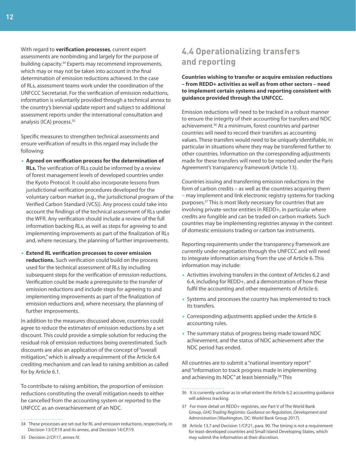<span id="page-15-0"></span>With regard to **verification processes**, current expert assessments are nonbinding and largely for the purpose of building capacity.<sup>34</sup> Experts may recommend improvements, which may or may not be taken into account in the final determination of emission reductions achieved. In the case of RLs, assessment teams work under the coordination of the UNFCCC Secretariat. For the verification of emission reductions, information is voluntarily provided through a technical annex to the country's biennial update report and subject to additional assessment reports under the international consultation and analysis (ICA) process.<sup>35</sup>

Specific measures to strengthen technical assessments and ensure verification of results in this regard may include the following:

- **Agreed on verification process for the determination of RLs.** The verification of RLs could be informed by a review of forest management levels of developed countries under the Kyoto Protocol. It could also incorporate lessons from jurisdictional verification procedures developed for the voluntary carbon market (e.g., the jurisdictional program of the Verified Carbon Standard (VCS)). Any process could take into account the findings of the technical assessment of RLs under the WFR. Any verification should include a review of the full information backing RLs, as well as steps for agreeing to and implementing improvements as part of the finalization of RLs and, where necessary, the planning of further improvements.
- **Extend RL verification processes to cover emission reductions.** Such verification could build on the process used for the technical assessment of RLs by including subsequent steps for the verification of emission reductions. Verification could be made a prerequisite to the transfer of emission reductions and include steps for agreeing to and implementing improvements as part of the finalization of emission reductions and, where necessary, the planning of further improvements.

In addition to the measures discussed above, countries could agree to reduce the estimates of emission reductions by a set discount. This could provide a simple solution for reducing the residual risk of emission reductions being overestimated. Such discounts are also an application of the concept of "overall mitigation," which is already a requirement of the Article 6.4 crediting mechanism and can lead to raising ambition as called for by Article 6.1.

To contribute to raising ambition, the proportion of emission reductions constituting the overall mitigation needs to either be cancelled from the accounting system or reported to the UNFCCC as an overachievement of an NDC.

### **4.4 Operationalizing transfers and reporting**

**Countries wishing to transfer or acquire emission reductions – from REDD+ activities as well as from other sectors – need to implement certain systems and reporting consistent with guidance provided through the UNFCCC.**

Emission reductions will need to be tracked in a robust manner to ensure the integrity of their accounting for transfers and NDC achievement.<sup>36</sup> At a minimum, forest countries and partner countries will need to record their transfers as accounting values. These transfers would need to be uniquely identifiable, in particular in situations where they may be transferred further to other countries. Information on the corresponding adjustments made for these transfers will need to be reported under the Paris Agreement's transparency framework (Article 13).

Countries issuing and transferring emission reductions in the form of carbon credits – as well as the countries acquiring them – may implement and link electronic registry systems for tracking purposes.<sup>37</sup> This is most likely necessary for countries that are involving private-sector entities in REDD+, in particular where credits are fungible and can be traded on carbon markets. Such countries may be implementing registries anyway in the context of domestic emissions trading or carbon tax instruments.

Reporting requirements under the transparency framework are currently under negotiation through the UNFCCC and will need to integrate information arising from the use of Article 6. This information may include:

- Activities involving transfers in the context of Articles 6.2 and 6.4, including for REDD+, and a demonstration of how these fulfil the accounting and other requirements of Article 6.
- Systems and processes the country has implemented to track its transfers.
- Corresponding adjustments applied under the Article 6 accounting rules.
- The summary status of progress being made toward NDC achievement, and the status of NDC achievement after the NDC period has ended.

All countries are to submit a "national inventory report" and "information to track progress made in implementing and achieving its NDC" at least biennially.<sup>38</sup> This

- 37 For more detail on REDD+ registries, see Part V of The World Bank Group, GHG Trading Registries: Guidance on Regulation, Development and Administration (Washington, DC: World Bank Group 2017).
- 38 Article 13.7 and Decision 1/CP.21, para. 90. The timing is not a requirement for least-developed countries and Small Island Developing States, which may submit the information at their discretion.

<sup>34</sup> These processes are set out for RL and emission reductions, respectively, in Decision 13/CP.19 and its annex, and Decision 14/CP.19.

<sup>36</sup> It is currently unclear as to what extent the Article 6.2 accounting guidance will address tracking.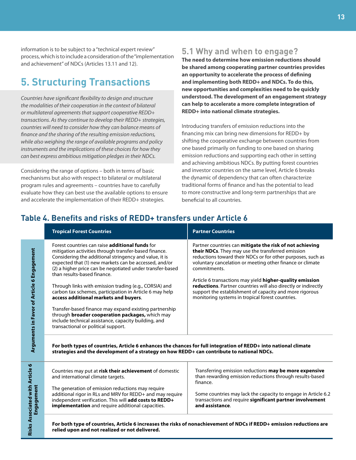<span id="page-16-0"></span>information is to be subject to a "technical expert review" process, which is to include a consideration of the "implementation and achievement" of NDCs (Articles 13.11 and 12).

### **5. Structuring Transactions**

Countries have significant flexibility to design and structure the modalities of their cooperation in the context of bilateral or multilateral agreements that support cooperative REDD+ transactions. As they continue to develop their REDD+ strategies, countries will need to consider how they can balance means of finance and the sharing of the resulting emission reductions, while also weighing the range of available programs and policy instruments and the implications of these choices for how they can best express ambitious mitigation pledges in their NDCs.

Considering the range of options – both in terms of basic mechanisms but also with respect to bilateral or multilateral program rules and agreements – countries have to carefully evaluate how they can best use the available options to ensure and accelerate the implementation of their REDD+ strategies.

Risks

#### **5.1 Why and when to engage?**

**The need to determine how emission reductions should be shared among cooperating partner countries provides an opportunity to accelerate the process of defining and implementing both REDD+ and NDCs. To do this, new opportunities and complexities need to be quickly understood. The development of an engagement strategy can help to accelerate a more complete integration of REDD+ into national climate strategies.**

Introducing transfers of emission reductions into the financing mix can bring new dimensions for REDD+ by shifting the cooperative exchange between countries from one based primarily on funding to one based on sharing emission reductions and supporting each other in setting and achieving ambitious NDCs. By putting forest countries and investor countries on the same level, Article 6 breaks the dynamic of dependency that can often characterize traditional forms of finance and has the potential to lead to more constructive and long-term partnerships that are beneficial to all countries.

#### **Table 4. Benefits and risks of REDD+ transfers under Article 6**

|                                               | <b>Tropical Forest Countries</b>                                                                                                                                                                                                                                                                                                                                                                                                                                                                                                                                                                                                                                                                                                                                                                                                                                                                                                  | <b>Partner Countries</b>                                                                                                                                                                                                                                                                                                                                                                                                                                                                               |
|-----------------------------------------------|-----------------------------------------------------------------------------------------------------------------------------------------------------------------------------------------------------------------------------------------------------------------------------------------------------------------------------------------------------------------------------------------------------------------------------------------------------------------------------------------------------------------------------------------------------------------------------------------------------------------------------------------------------------------------------------------------------------------------------------------------------------------------------------------------------------------------------------------------------------------------------------------------------------------------------------|--------------------------------------------------------------------------------------------------------------------------------------------------------------------------------------------------------------------------------------------------------------------------------------------------------------------------------------------------------------------------------------------------------------------------------------------------------------------------------------------------------|
| Arguments in Favor of Article 6 Engagement    | Forest countries can raise <b>additional funds</b> for<br>mitigation activities through transfer-based finance.<br>Considering the additional stringency and value, it is<br>expected that (1) new markets can be accessed, and/or<br>(2) a higher price can be negotiated under transfer-based<br>than results-based finance.<br>Through links with emission trading (e.g., CORSIA) and<br>carbon tax schemes, participation in Article 6 may help<br>access additional markets and buyers.<br>Transfer-based finance may expand existing partnership<br>through <b>broader cooperation packages</b> , which may<br>include technical assistance, capacity building, and<br>transactional or political support.<br>For both types of countries, Article 6 enhances the chances for full integration of REDD+ into national climate<br>strategies and the development of a strategy on how REDD+ can contribute to national NDCs. | Partner countries can mitigate the risk of not achieving<br>their NDCs. They may use the transferred emission<br>reductions toward their NDCs or for other purposes, such as<br>voluntary cancelation or meeting other finance or climate<br>commitments.<br>Article 6 transactions may yield higher-quality emission<br>reductions. Partner countries will also directly or indirectly<br>support the establishment of capacity and more rigorous<br>monitoring systems in tropical forest countries. |
| Risks Associated with Article 6<br>Engagement | Countries may put at risk their achievement of domestic<br>and international climate targets.<br>The generation of emission reductions may require<br>additional rigor in RLs and MRV for REDD+ and may require<br>independent verification. This will add costs to REDD+<br>implementation and require additional capacities.                                                                                                                                                                                                                                                                                                                                                                                                                                                                                                                                                                                                    | Transferring emission reductions may be more expensive<br>than rewarding emission reductions through results-based<br>finance.<br>Some countries may lack the capacity to engage in Article 6.2<br>transactions and require significant partner involvement<br>and assistance.                                                                                                                                                                                                                         |
|                                               | relied upon and not realized or not delivered.                                                                                                                                                                                                                                                                                                                                                                                                                                                                                                                                                                                                                                                                                                                                                                                                                                                                                    | For both type of countries, Article 6 increases the risks of nonachievement of NDCs if REDD+ emission reductions are                                                                                                                                                                                                                                                                                                                                                                                   |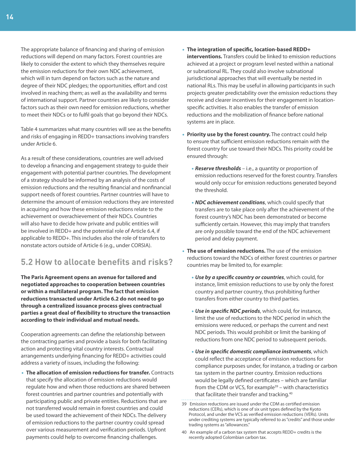<span id="page-17-0"></span>The appropriate balance of financing and sharing of emission reductions will depend on many factors. Forest countries are likely to consider the extent to which they themselves require the emission reductions for their own NDC achievement, which will in turn depend on factors such as the nature and degree of their NDC pledges; the opportunities, effort and cost involved in reaching them; as well as the availability and terms of international support. Partner countries are likely to consider factors such as their own need for emission reductions, whether to meet their NDCs or to fulfil goals that go beyond their NDCs.

Table 4 summarizes what many countries will see as the benefits and risks of engaging in REDD+ transactions involving transfers under Article 6.

As a result of these considerations, countries are well advised to develop a financing and engagement strategy to guide their engagement with potential partner countries. The development of a strategy should be informed by an analysis of the costs of emission reductions and the resulting financial and nonfinancial support needs of forest countries. Partner countries will have to determine the amount of emission reductions they are interested in acquiring and how these emission reductions relate to the achievement or overachievement of their NDCs. Countries will also have to decide how private and public entities will be involved in REDD+ and the potential role of Article 6.4, if applicable to REDD+. This includes also the role of transfers to nonstate actors outside of Article 6 (e.g., under CORSIA).

### **5.2 How to allocate benefits and risks?**

**The Paris Agreement opens an avenue for tailored and negotiated approaches to cooperation between countries or within a multilateral program. The fact that emission reductions transacted under Article 6.2 do not need to go through a centralized issuance process gives contractual parties a great deal of flexibility to structure the transaction according to their individual and mutual needs.** 

Cooperation agreements can define the relationship between the contracting parties and provide a basis for both facilitating action and protecting vital country interests. Contractual arrangements underlying financing for REDD+ activities could address a variety of issues, including the following:

• **The allocation of emission reductions for transfer.** Contracts that specify the allocation of emission reductions would regulate how and when those reductions are shared between forest countries and partner countries and potentially with participating public and private entities. Reductions that are not transferred would remain in forest countries and could be used toward the achievement of their NDCs. The delivery of emission reductions to the partner country could spread over various measurement and verification periods. Upfront payments could help to overcome financing challenges.

- **The integration of specific, location-based REDD+ interventions.** Transfers could be linked to emission reductions achieved at a project or program level nested within a national or subnational RL. They could also involve subnational jurisdictional approaches that will eventually be nested in national RLs. This may be useful in allowing participants in such projects greater predictability over the emission reductions they receive and clearer incentives for their engagement in locationspecific activities. It also enables the transfer of emission reductions and the mobilization of finance before national systems are in place.
- **Priority use by the forest country.** The contract could help to ensure that sufficient emission reductions remain with the forest country for use toward their NDCs. This priority could be ensured through:
	- **Reserve thresholds** i.e., a quantity or proportion of emission reductions reserved for the forest country. Transfers would only occur for emission reductions generated beyond the threshold.
	- **NDC achievement conditions**, which could specify that transfers are to take place only after the achievement of the forest country's NDC has been demonstrated or become sufficiently certain. However, this may imply that transfers are only possible toward the end of the NDC achievement period and delay payment.
- **The use of emission reductions.** The use of the emission reductions toward the NDCs of either forest countries or partner countries may be limited to, for example:
	- **Use by a specific country or countries**, which could, for instance, limit emission reductions to use by only the forest country and partner country, thus prohibiting further transfers from either country to third parties.
	- **Use in specific NDC periods**, which could, for instance, limit the use of reductions to the NDC period in which the emissions were reduced, or perhaps the current and next NDC periods. This would prohibit or limit the banking of reductions from one NDC period to subsequent periods.
	- **Use in specific domestic compliance instruments**, which could reflect the acceptance of emission reductions for compliance purposes under, for instance, a trading or carbon tax system in the partner country. Emission reductions would be legally defined certificates – which are familiar from the CDM or VCS, for example $39 -$  with characteristics that facilitate their transfer and tracking.<sup>40</sup>
- 39 Emission reductions are issued under the CDM as certified emission reductions (CERs), which is one of six unit types defined by the Kyoto Protocol, and under the VCS as verified emission reductions (VERs). Units under crediting systems are typically referred to as "credits" and those under trading systems as "allowances."
- 40 An example of a carbon tax system that accepts REDD+ credits is the recently adopted Colombian carbon tax.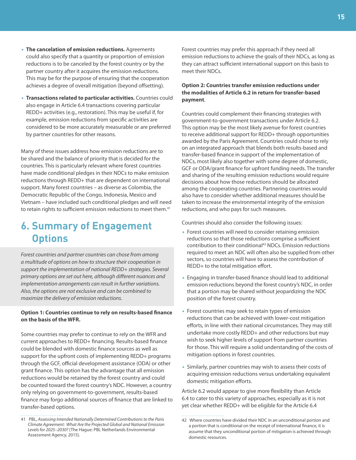- <span id="page-18-0"></span>• **The cancelation of emission reductions.** Agreements could also specify that a quantity or proportion of emission reductions is to be canceled by the forest country or by the partner country after it acquires the emission reductions. This may be for the purpose of ensuring that the cooperation achieves a degree of overall mitigation (beyond offsetting).
- **Transactions related to particular activities.** Countries could also engage in Article 6.4 transactions covering particular REDD+ activities (e.g., restoration). This may be useful if, for example, emission reductions from specific activities are considered to be more accurately measurable or are preferred by partner countries for other reasons.

Many of these issues address how emission reductions are to be shared and the balance of priority that is decided for the countries. This is particularly relevant where forest countries have made conditional pledges in their NDCs to make emission reductions through REDD+ that are dependent on international support. Many forest countries – as diverse as Colombia, the Democratic Republic of the Congo, Indonesia, Mexico and Vietnam – have included such conditional pledges and will need to retain rights to sufficient emission reductions to meet them.<sup>41</sup>

## **6. Summary of Engagement Options**

Forest countries and partner countries can chose from among a multitude of options on how to structure their cooperation in support the implementation of national REDD+ strategies. Several primary options are set out here, although different nuances and implementation arrangements can result in further variations. Also, the options are not exclusive and can be combined to maximize the delivery of emission reductions.

#### **Option 1: Countries continue to rely on results-based finance on the basis of the WFR.**

Some countries may prefer to continue to rely on the WFR and current approaches to REDD+ financing. Results-based finance could be blended with domestic finance sources as well as support for the upfront costs of implementing REDD+ programs through the GCF, official development assistance (ODA) or other grant finance. This option has the advantage that all emission reductions would be retained by the forest country and could be counted toward the forest country's NDC. However, a country only relying on government-to-government, results-based finance may forgo additional sources of finance that are linked to transfer-based options.

Forest countries may prefer this approach if they need all emission reductions to achieve the goals of their NDCs, as long as they can attract sufficient international support on this basis to meet their NDCs.

#### **Option 2: Countries transfer emission reductions under the modalities of Article 6.2 in return for transfer-based payment**.

Countries could complement their financing strategies with government-to-government transactions under Article 6.2. This option may be the most likely avenue for forest countries to receive additional support for REDD+ through opportunities awarded by the Paris Agreement. Countries could chose to rely on an integrated approach that blends both results-based and transfer-based finance in support of the implementation of NDCs, most likely also together with some degree of domestic, GCF or ODA/grant finance for upfront funding needs. The transfer and sharing of the resulting emission reductions would require decisions about how those reductions should be allocated among the cooperating countries. Partnering countries would also have to consider whether additional measures should be taken to increase the environmental integrity of the emission reductions, and who pays for such measures.

Countries should also consider the following issues:

- Forest countries will need to consider retaining emission reductions so that those reductions comprise a sufficient contribution to their conditional<sup>42</sup> NDCs. Emission reductions required to meet an NDC will often also be supplied from other sectors, so countries will have to assess the contribution of REDD+ to the total mitigation effort.
- Engaging in transfer-based finance should lead to additional emission reductions beyond the forest country's NDC, in order that a portion may be shared without jeopardizing the NDC position of the forest country.
- Forest countries may seek to retain types of emission reductions that can be achieved with lower-cost mitigation efforts, in line with their national circumstances. They may still undertake more costly REDD+ and other reductions but may wish to seek higher levels of support from partner countries for those. This will require a solid understanding of the costs of mitigation options in forest countries.
- Similarly, partner countries may wish to assess their costs of acquiring emission reductions versus undertaking equivalent domestic mitigation efforts.

Article 6.2 would appear to give more flexibility than Article 6.4 to cater to this variety of approaches, especially as it is not yet clear whether REDD+ will be eligible for the Article 6.4

<sup>41</sup> PBL, Assessing Intended Nationally Determined Contributions to the Paris Climate Agreement: What Are the Projected Global and National Emission Levels for 2025–2030? (The Hague: PBL Netherlands Environmental Assessment Agency, 2015).

<sup>42</sup> Where countries have divided their NDC in an unconditional portion and a portion that is conditional on the receipt of international finance, it is assume that they unconditional portion of mitigation is achieved through domestic resources.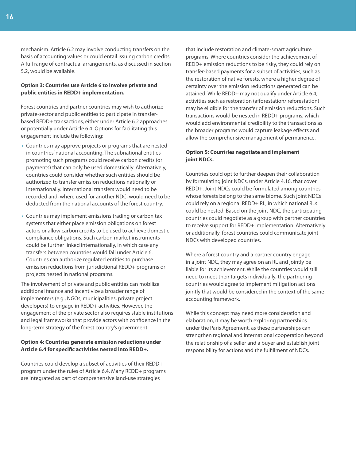mechanism. Article 6.2 may involve conducting transfers on the basis of accounting values or could entail issuing carbon credits. A full range of contractual arrangements, as discussed in section 5.2, would be available.

#### **Option 3: Countries use Article 6 to involve private and public entities in REDD+ implementation.**

Forest countries and partner countries may wish to authorize private-sector and public entities to participate in transferbased REDD+ transactions, either under Article 6.2 approaches or potentially under Article 6.4. Options for facilitating this engagement include the following:

- Countries may approve projects or programs that are nested in countries' national accounting. The subnational entities promoting such programs could receive carbon credits (or payments) that can only be used domestically. Alternatively, countries could consider whether such entities should be authorized to transfer emission reductions nationally or internationally. International transfers would need to be recorded and, where used for another NDC, would need to be deducted from the national accounts of the forest country.
- Countries may implement emissions trading or carbon tax systems that either place emission obligations on forest actors or allow carbon credits to be used to achieve domestic compliance obligations. Such carbon market instruments could be further linked internationally, in which case any transfers between countries would fall under Article 6. Countries can authorize regulated entities to purchase emission reductions from jurisdictional REDD+ programs or projects nested in national programs.

The involvement of private and public entities can mobilize additional finance and incentivize a broader range of implementers (e.g., NGOs, municipalities, private project developers) to engage in REDD+ activities. However, the engagement of the private sector also requires stable institutions and legal frameworks that provide actors with confidence in the long-term strategy of the forest country's government.

#### **Option 4: Countries generate emission reductions under Article 6.4 for specific activities nested into REDD+.**

Countries could develop a subset of activities of their REDD+ program under the rules of Article 6.4. Many REDD+ programs are integrated as part of comprehensive land-use strategies

that include restoration and climate-smart agriculture programs. Where countries consider the achievement of REDD+ emission reductions to be risky, they could rely on transfer-based payments for a subset of activities, such as the restoration of native forests, where a higher degree of certainty over the emission reductions generated can be attained. While REDD+ may not qualify under Article 6.4, activities such as restoration (afforestation/ reforestation) may be eligible for the transfer of emission reductions. Such transactions would be nested in REDD+ programs, which would add environmental credibility to the transactions as the broader programs would capture leakage effects and allow the comprehensive management of permanence.

#### **Option 5: Countries negotiate and implement joint NDCs.**

Countries could opt to further deepen their collaboration by formulating joint NDCs, under Article 4.16, that cover REDD+. Joint NDCs could be formulated among countries whose forests belong to the same biome. Such joint NDCs could rely on a regional REDD+ RL, in which national RLs could be nested. Based on the joint NDC, the participating countries could negotiate as a group with partner countries to receive support for REDD+ implementation. Alternatively or additionally, forest countries could communicate joint NDCs with developed countries.

Where a forest country and a partner country engage in a joint NDC, they may agree on an RL and jointly be liable for its achievement. While the countries would still need to meet their targets individually, the partnering countries would agree to implement mitigation actions jointly that would be considered in the context of the same accounting framework.

While this concept may need more consideration and elaboration, it may be worth exploring partnerships under the Paris Agreement, as these partnerships can strengthen regional and international cooperation beyond the relationship of a seller and a buyer and establish joint responsibility for actions and the fulfillment of NDCs.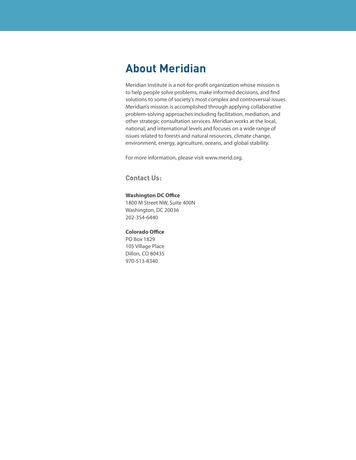## **About Meridian**

Meridian Institute is a not-for-profit organization whose mission is to help people solve problems, make informed decisions, and find solutions to some of society's most complex and controversial issues. Meridian's mission is accomplished through applying collaborative problem-solving approaches including facilitation, mediation, and other strategic consultation services. Meridian works at the local, national, and international levels and focuses on a wide range of issues related to forests and natural resources, climate change, environment, energy, agriculture, oceans, and global stability.

For more information, please visit www.merid.org.

**Contact Us:**

#### **Washington DC Office**

1800 M Street NW, Suite 400N Washington, DC 20036 202-354-6440

#### **Colorado Office**

PO Box 1829 105 Village Place Dillon, CO 80435 970-513-8340